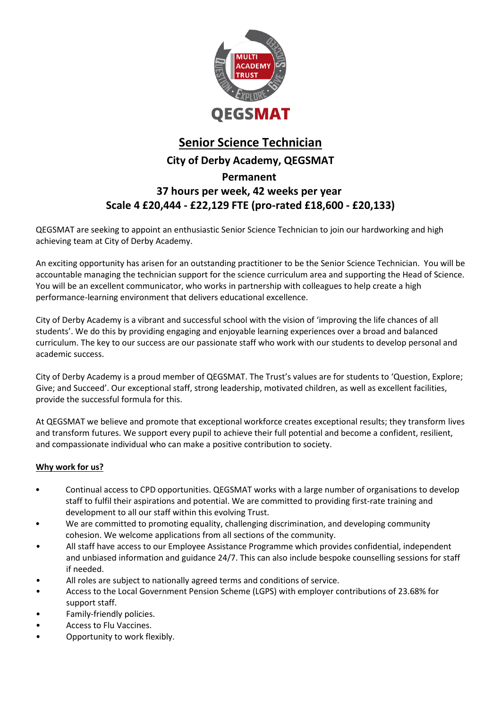

## **Senior Science Technician City of Derby Academy, QEGSMAT Permanent 37 hours per week, 42 weeks per year Scale 4 £20,444 - £22,129 FTE (pro-rated £18,600 - £20,133)**

QEGSMAT are seeking to appoint an enthusiastic Senior Science Technician to join our hardworking and high achieving team at City of Derby Academy.

An exciting opportunity has arisen for an outstanding practitioner to be the Senior Science Technician.  You will be accountable managing the technician support for the science curriculum area and supporting the Head of Science. You will be an excellent communicator, who works in partnership with colleagues to help create a high performance-learning environment that delivers educational excellence.  

City of Derby Academy is a vibrant and successful school with the vision of 'improving the life chances of all students'. We do this by providing engaging and enjoyable learning experiences over a broad and balanced curriculum. The key to our success are our passionate staff who work with our students to develop personal and academic success.

City of Derby Academy is a proud member of QEGSMAT. The Trust's values are for students to 'Question, Explore; Give; and Succeed'. Our exceptional staff, strong leadership, motivated children, as well as excellent facilities, provide the successful formula for this.

At QEGSMAT we believe and promote that exceptional workforce creates exceptional results; they transform lives and transform futures. We support every pupil to achieve their full potential and become a confident, resilient, and compassionate individual who can make a positive contribution to society.

#### **Why work for us?**

- Continual access to CPD opportunities. QEGSMAT works with a large number of organisations to develop staff to fulfil their aspirations and potential. We are committed to providing first-rate training and development to all our staff within this evolving Trust.
- We are committed to promoting equality, challenging discrimination, and developing community cohesion. We welcome applications from all sections of the community.
- All staff have access to our Employee Assistance Programme which provides confidential, independent and unbiased information and guidance 24/7. This can also include bespoke counselling sessions for staff if needed.
- All roles are subject to nationally agreed terms and conditions of service.
- Access to the Local Government Pension Scheme (LGPS) with employer contributions of 23.68% for support staff.
- Family-friendly policies.
- Access to Flu Vaccines.
- Opportunity to work flexibly.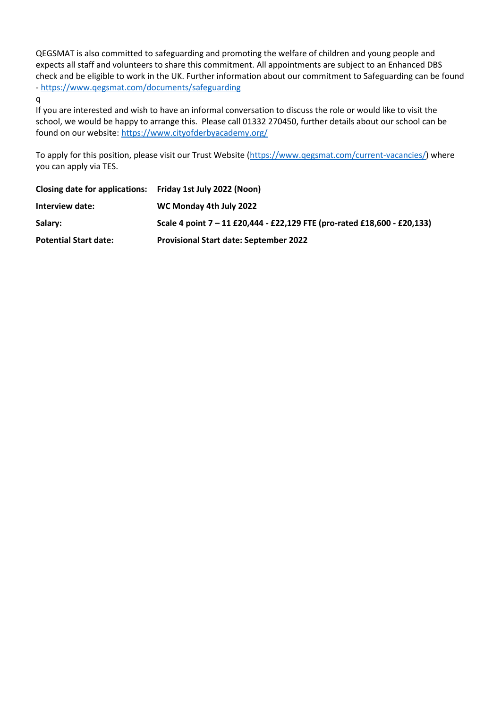QEGSMAT is also committed to safeguarding and promoting the welfare of children and young people and expects all staff and volunteers to share this commitment. All appointments are subject to an Enhanced DBS check and be eligible to work in the UK. Further information about our commitment to Safeguarding can be found - <https://www.qegsmat.com/documents/safeguarding>

q

If you are interested and wish to have an informal conversation to discuss the role or would like to visit the school, we would be happy to arrange this. Please call 01332 270450, further details about our school can be found on our website:<https://www.cityofderbyacademy.org/>

To apply for this position, please visit our Trust Website [\(https://www.qegsmat.com/current-vacancies/\)](https://www.qegsmat.com/current-vacancies/) where you can apply via TES.

| Closing date for applications: Friday 1st July 2022 (Noon) |                                                                          |
|------------------------------------------------------------|--------------------------------------------------------------------------|
| Interview date:                                            | WC Monday 4th July 2022                                                  |
| Salary:                                                    | Scale 4 point 7 - 11 £20,444 - £22,129 FTE (pro-rated £18,600 - £20,133) |
| <b>Potential Start date:</b>                               | <b>Provisional Start date: September 2022</b>                            |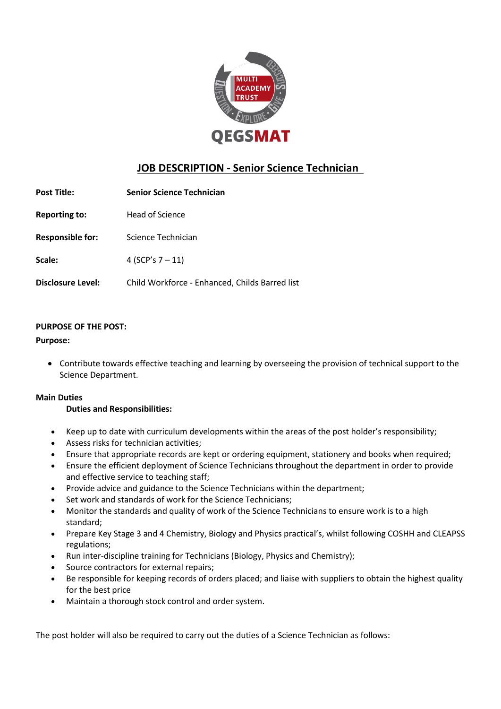

### **JOB DESCRIPTION - Senior Science Technician**

| <b>Post Title:</b>      | <b>Senior Science Technician</b>               |
|-------------------------|------------------------------------------------|
| <b>Reporting to:</b>    | Head of Science                                |
| <b>Responsible for:</b> | Science Technician                             |
| Scale:                  | 4 (SCP's $7 - 11$ )                            |
| Disclosure Level:       | Child Workforce - Enhanced, Childs Barred list |

### **PURPOSE OF THE POST:**

#### **Purpose:**

• Contribute towards effective teaching and learning by overseeing the provision of technical support to the Science Department.  

#### **Main Duties**

#### **Duties and Responsibilities:**

- Keep up to date with curriculum developments within the areas of the post holder's responsibility;
- Assess risks for technician activities;
- Ensure that appropriate records are kept or ordering equipment, stationery and books when required;
- Ensure the efficient deployment of Science Technicians throughout the department in order to provide and effective service to teaching staff;
- Provide advice and guidance to the Science Technicians within the department;
- Set work and standards of work for the Science Technicians;
- Monitor the standards and quality of work of the Science Technicians to ensure work is to a high standard;
- Prepare Key Stage 3 and 4 Chemistry, Biology and Physics practical's, whilst following COSHH and CLEAPSS regulations;
- Run inter-discipline training for Technicians (Biology, Physics and Chemistry);
- Source contractors for external repairs:
- Be responsible for keeping records of orders placed; and liaise with suppliers to obtain the highest quality for the best price
- Maintain a thorough stock control and order system.

The post holder will also be required to carry out the duties of a Science Technician as follows: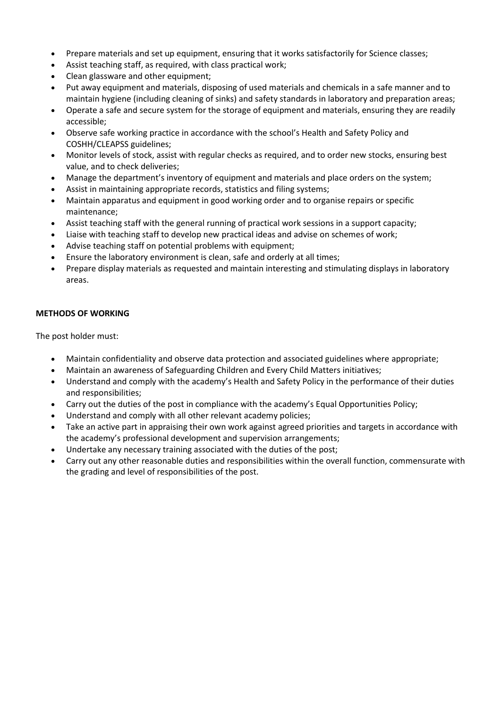- Prepare materials and set up equipment, ensuring that it works satisfactorily for Science classes;
- Assist teaching staff, as required, with class practical work;
- Clean glassware and other equipment;
- Put away equipment and materials, disposing of used materials and chemicals in a safe manner and to maintain hygiene (including cleaning of sinks) and safety standards in laboratory and preparation areas;
- Operate a safe and secure system for the storage of equipment and materials, ensuring they are readily accessible;
- Observe safe working practice in accordance with the school's Health and Safety Policy and COSHH/CLEAPSS guidelines;
- Monitor levels of stock, assist with regular checks as required, and to order new stocks, ensuring best value, and to check deliveries;
- Manage the department's inventory of equipment and materials and place orders on the system;
- Assist in maintaining appropriate records, statistics and filing systems;
- Maintain apparatus and equipment in good working order and to organise repairs or specific maintenance;
- Assist teaching staff with the general running of practical work sessions in a support capacity;
- Liaise with teaching staff to develop new practical ideas and advise on schemes of work;
- Advise teaching staff on potential problems with equipment;
- Ensure the laboratory environment is clean, safe and orderly at all times;
- Prepare display materials as requested and maintain interesting and stimulating displays in laboratory areas.

#### **METHODS OF WORKING**

The post holder must:   

- Maintain confidentiality and observe data protection and associated guidelines where appropriate;
- Maintain an awareness of Safeguarding Children and Every Child Matters initiatives;
- Understand and comply with the academy's Health and Safety Policy in the performance of their duties and responsibilities;
- Carry out the duties of the post in compliance with the academy's Equal Opportunities Policy;
- Understand and comply with all other relevant academy policies;
- Take an active part in appraising their own work against agreed priorities and targets in accordance with the academy's professional development and supervision arrangements;
- Undertake any necessary training associated with the duties of the post;
- Carry out any other reasonable duties and responsibilities within the overall function, commensurate with the grading and level of responsibilities of the post.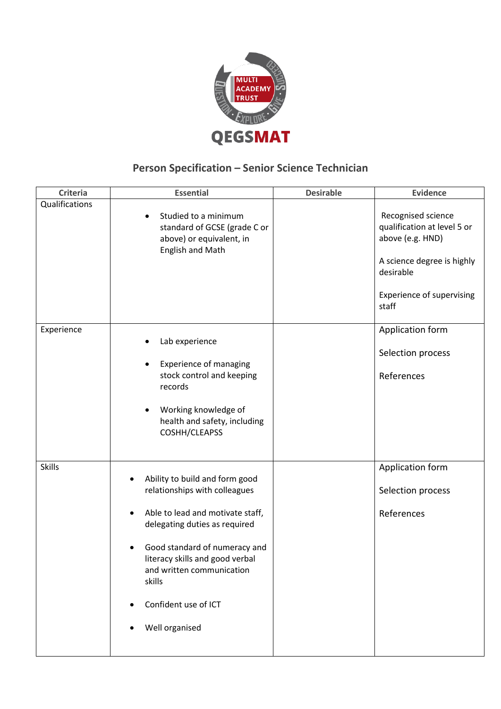

# **Person Specification – Senior Science Technician**

| Criteria       | <b>Essential</b>                                                                                                                                                                                                                                                                          | <b>Desirable</b> | <b>Evidence</b>                                                                                                                                               |
|----------------|-------------------------------------------------------------------------------------------------------------------------------------------------------------------------------------------------------------------------------------------------------------------------------------------|------------------|---------------------------------------------------------------------------------------------------------------------------------------------------------------|
| Qualifications | Studied to a minimum<br>standard of GCSE (grade C or<br>above) or equivalent, in<br>English and Math                                                                                                                                                                                      |                  | Recognised science<br>qualification at level 5 or<br>above (e.g. HND)<br>A science degree is highly<br>desirable<br><b>Experience of supervising</b><br>staff |
| Experience     | Lab experience<br><b>Experience of managing</b><br>stock control and keeping<br>records<br>Working knowledge of<br>٠<br>health and safety, including<br>COSHH/CLEAPSS                                                                                                                     |                  | Application form<br>Selection process<br>References                                                                                                           |
| <b>Skills</b>  | Ability to build and form good<br>relationships with colleagues<br>Able to lead and motivate staff,<br>delegating duties as required<br>Good standard of numeracy and<br>literacy skills and good verbal<br>and written communication<br>skills<br>Confident use of ICT<br>Well organised |                  | Application form<br>Selection process<br>References                                                                                                           |